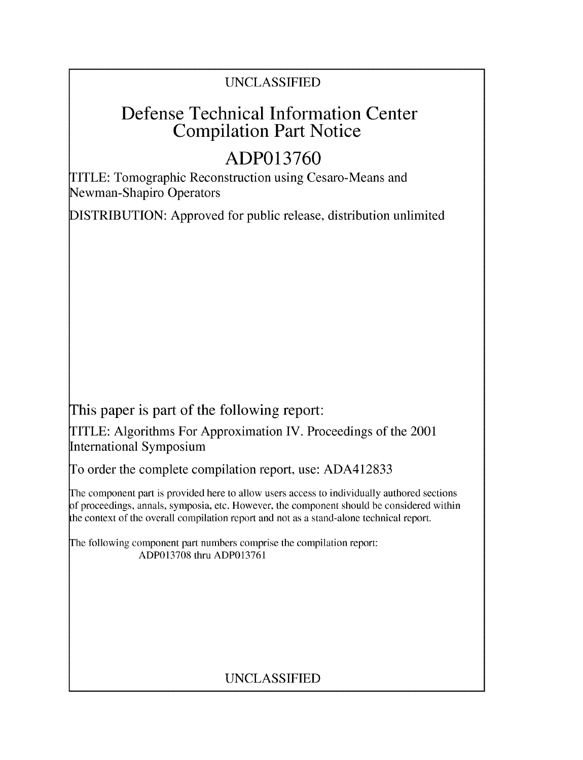## UNCLASSIFIED

# Defense Technical Information Center Compilation Part Notice

# **ADP013760**

TITLE: Tomographic Reconstruction using Cesaro-Means and Newman-Shapiro Operators

DISTRIBUTION: Approved for public release, distribution unlimited

This paper is part of the following report:

TITLE: Algorithms For Approximation IV. Proceedings of the 2001 International Symposium

To order the complete compilation report, use: ADA412833

The component part is provided here to allow users access to individually authored sections f proceedings, annals, symposia, etc. However, the component should be considered within the context of the overall compilation report and not as a stand-alone technical report.

The following component part numbers comprise the compilation report: ADP013708 thru ADP013761

## UNCLASSIFIED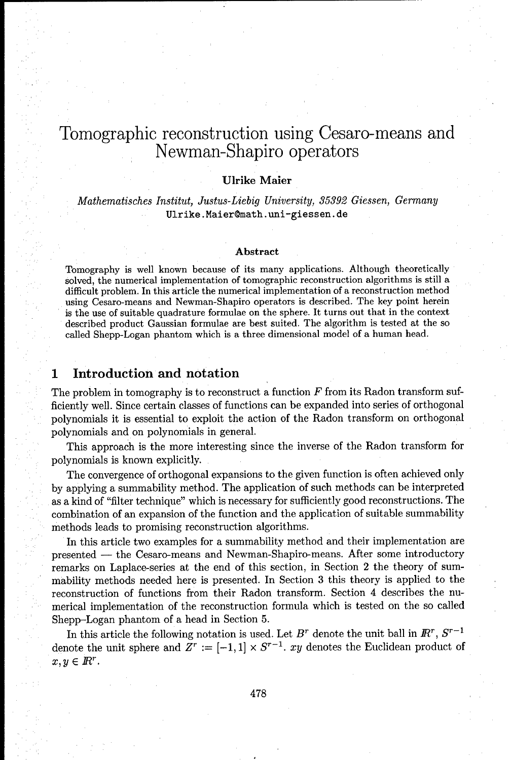## Tomographic reconstruction using Cesaro-means and Newman-Shapiro operators

### Ulrike Maier

*Mathematisches Institut, Justus-Liebig University, 35392 Giessen, Germany* Ulrike. Maier@math. uni-giessen. de

#### Abstract

Tomography is well known because of its many applications. Although theoretically solved, the numerical implementation of tomographic reconstruction algorithms is still a difficult problem. In this article the numerical implementation of a reconstruction method using Cesaro-means and Newman-Shapiro operators is described. The key point herein is the use of suitable quadrature formulae on the sphere. It turns out that in the context described product Gaussian formulae are best suited. The algorithm is tested at the so called Shepp-Logan phantom which is a three dimensional model of a human head.

## **<sup>1</sup>**Introduction and notation

The problem in tomography is to reconstruct a function  $F$  from its Radon transform sufficiently well. Since certain classes of functions can be expanded into series of orthogonal polynomials it is essential to exploit the action of the Radon transform on orthogonal polynomials and on polynomials in general.

This approach is the more interesting since the inverse of the Radon transform for polynomials is known explicitly.

The convergence of orthogonal expansions to the given function is often achieved only by applying a summability method. The application of such methods can be interpreted as a kind of "filter technique" which is necessary for sufficiently good reconstructions. The combination of an expansion of the function and the application of suitable summability methods leads to promising reconstruction algorithms.

In this article two examples for a summability method and their implementation are presented **-** the Cesaro-means and Newman-Shapiro-means. After some introductory remarks on Laplace-series at the end of this section, in Section 2 the theory of summability methods needed here is presented. In Section **3** this theory is applied to the reconstruction of functions from their Radon transform. Section 4 describes the numerical implementation of the reconstruction formula which is tested on the so called Shepp-Logan phantom of a head in Section 5.

In this article the following notation is used. Let  $B^r$  denote the unit ball in  $\mathbb{R}^r$ ,  $S^{r-1}$ denote the unit sphere and  $Z^r := [-1, 1] \times S^{r-1}$ . xy denotes the Euclidean product of  $x, y \in \mathbb{R}^r$ .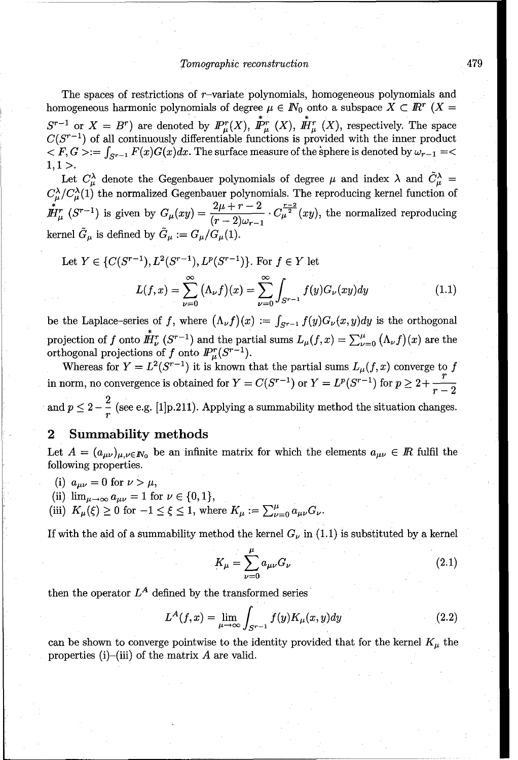#### *Tomographic* reconstruction 479

The spaces of restrictions of  $r$ -variate polynomials, homogeneous polynomials and homogeneous harmonic polynomials of degree  $\mu \in \mathbb{N}_0$  onto a subspace  $X \subset \mathbb{R}^r$  (X =  $S^{r-1}$  or  $X = B^r$ ) are denoted by  $I\!\!P_n^r(X)$ ,  $I\!\!P_n^r(X)$ ,  $I\!\!H_n^r(X)$ , respectively. The space  $C(S^{r-1})$  of all continuously differentiable functions is provided with the inner product  $\langle F, G \rangle := \int_{S^{r-1}} F(x)G(x)dx$ . The surface measure of the sphere is denoted by  $\omega_{r-1} = \langle G, G \rangle$  $1, 1 >$ .

Let  $C_{\mu}^{\lambda}$  denote the Gegenbauer polynomials of degree  $\mu$  and index  $\lambda$  and  $\tilde{C}_{\mu}^{\lambda}$  $C_{\mu}^{\lambda}/C_{\mu}^{\lambda}(1)$  the normalized Gegenbauer polynomials. The reproducing kernel function of  $\mathbf{F}_\mu^{r-r-r}$  is given by  $G_\mu(xy)=\frac{2\mu+r-2}{(r-2)\mu+r} \cdot C_\mu^{\frac{r-2}{2}}(xy)$ , the normalized reproducing kernel  $\tilde{G}_{\mu}$  is defined by  $\tilde{G}_{\mu} := G_{\mu}/G_{\mu}(1).$ 

Let 
$$
Y \in \{C(S^{r-1}), L^2(S^{r-1}), L^p(S^{r-1})\}
$$
. For  $f \in Y$  let  

$$
L(f, x) = \sum_{\nu=0}^{\infty} (\Lambda_{\nu} f)(x) = \sum_{\nu=0}^{\infty} \int_{S^{r-1}} f(y) G_{\nu}(xy) dy
$$
(1.1)

be the Laplace-series of f, where  $(\Lambda_{\nu} f)(x) := \int_{S^{r-1}} f(y)G_{\nu}(x, y)dy$  is the orthogonal projection of f onto  $\mathbf{H}_{\nu}^{r}(S^{r-1})$  and the partial sums  $L_{\mu}(f,x) = \sum_{\nu=0}^{\mu} (\Lambda_{\nu}f)(x)$  are the orthogonal projections of f onto  $\mathbf{P}_{\mu}^{r}(S^{r-1})$ .

Whereas for  $Y = L^2(S^{r-1})$  it is known that the partial sums  $L_{\mu}(f, x)$  converge to f in norm, no convergence is obtained for  $Y = C(S^{r-1})$  or  $Y = L^p(S^{r-1})$  for  $p \geq 2 + \frac{r}{r-2}$ and p  $2$  ,  $\frac{1}{2}$  (see e.g.  $\frac{1}{2}$  , see e.g.  $\frac{1}{2}$  , summability method the situation changes.  $\overline{a}$ 

### 2 Summability methods

Let  $A = (a_{\mu\nu})_{\mu,\nu \in \mathbb{N}_0}$  be an infinite matrix for which the elements  $a_{\mu\nu} \in \mathbb{R}$  fulfil the following properties.

- (i)  $a_{\mu\nu}=0$  for  $\nu > \mu$ ,
- 
- (ii)  $\lim_{\mu \to \infty} a_{\mu\nu} = 1$  for  $\nu \in \{0, 1\}$ ,<br>(iii)  $K_{\mu}(\xi) \ge 0$  for  $-1 \le \xi \le 1$ , where  $K_{\mu} := \sum_{\nu=0}^{\mu} a_{\mu\nu} G_{\nu}$ .

If with the aid of a summability method the kernel  $G_{\nu}$  in (1.1) is substituted by a kernel

$$
K_{\mu} = \sum_{\nu=0}^{\mu} a_{\mu\nu} G_{\nu}
$$
 (2.1)

then the operator  $L^A$  defined by the transformed series

$$
L^{A}(f,x) = \lim_{\mu \to \infty} \int_{S^{r-1}} f(y)K_{\mu}(x,y)dy
$$
\n(2.2)

can be shown to converge pointwise to the identity provided that for the kernel  $K_{\mu}$  the properties (i)-(iii) of the matrix  $A$  are valid.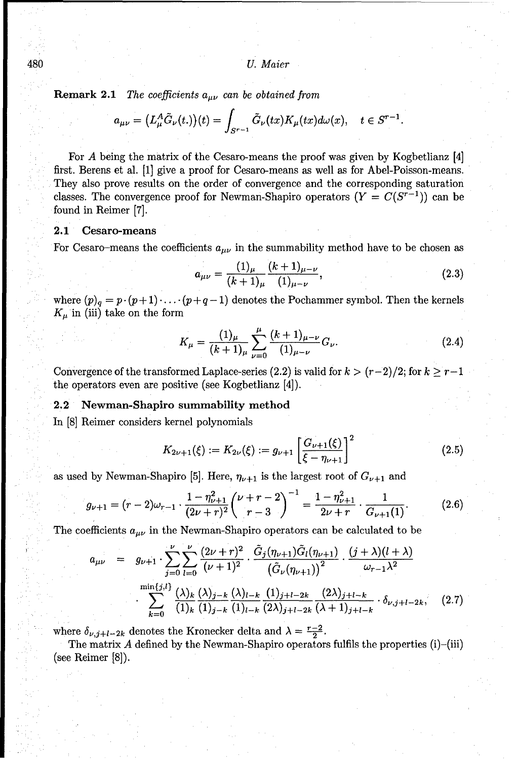**Remark 2.1** *The coefficients*  $a_{\mu\nu}$  *can be obtained from* 

$$
a_{\mu\nu} = (L^A_\mu \tilde{G}_\nu(t.))(t) = \int_{S^{r-1}} \tilde{G}_\nu(tx) K_\mu(tx) d\omega(x), \quad t \in S^{r-1}.
$$

For A being the matrix of the Cesaro-means the proof was given by Kogbetlianz [4] first. Berens et al. [1] give a proof for Cesaro-means as well as for Abel-Poisson-means. They also prove results on the order of convergence and the corresponding saturation classes. The convergence proof for Newman-Shapiro operators  $(Y = C(S^{r-1}))$  can be found in Reimer [7].

#### 2.1 Cesaro-means

For Cesaro-means the coefficients  $a_{\mu\nu}$  in the summability method have to be chosen as

$$
a_{\mu\nu} = \frac{(1)_{\mu}}{(k+1)_{\mu}} \frac{(k+1)_{\mu-\nu}}{(1)_{\mu-\nu}},
$$
\n(2.3)

where  $(p)_q = p \cdot (p+1) \cdot \ldots \cdot (p+q-1)$  denotes the Pochammer symbol. Then the kernels  $K_{\mu}$  in (iii) take on the form

$$
K_{\mu} = \frac{(1)_{\mu}}{(k+1)_{\mu}} \sum_{\nu=0}^{\mu} \frac{(k+1)_{\mu-\nu}}{(1)_{\mu-\nu}} G_{\nu}.
$$
 (2.4)

Convergence of the transformed Laplace-series (2.2) is valid for  $k > (r-2)/2$ ; for  $k \geq r-1$ the operators even are positive (see Kogbetlianz [4]).

#### 2.2 Newman-Shapiro summability method

In [8] Reimer considers kernel polynomials

$$
K_{2\nu+1}(\xi) := K_{2\nu}(\xi) := g_{\nu+1} \left[ \frac{G_{\nu+1}(\xi)}{\xi - \eta_{\nu+1}} \right]^2 \tag{2.5}
$$

as used by Newman-Shapiro [5]. Here,  $\eta_{\nu+1}$  is the largest root of  $G_{\nu+1}$  and

$$
g_{\nu+1} = (r-2)\omega_{r-1} \cdot \frac{1-\eta_{\nu+1}^2}{(2\nu+r)^2} \left(\frac{\nu+r-2}{r-3}\right)^{-1} = \frac{1-\eta_{\nu+1}^2}{2\nu+r} \cdot \frac{1}{G_{\nu+1}(1)}.\tag{2.6}
$$

The coefficients  $a_{\mu\nu}$  in the Newman-Shapiro operators can be calculated to be

$$
a_{\mu\nu} = g_{\nu+1} \cdot \sum_{j=0}^{\nu} \sum_{l=0}^{U} \frac{(2\nu+r)^2}{(\nu+1)^2} \cdot \frac{\tilde{G}_j(\eta_{\nu+1})\tilde{G}_l(\eta_{\nu+1})}{(\tilde{G}_\nu(\eta_{\nu+1}))^2} \cdot \frac{(j+\lambda)(l+\lambda)}{\omega_{r-1}\lambda^2}
$$

$$
\sum_{k=0}^{\min\{j,l\}} \frac{(\lambda)_k}{(1)_k} \frac{(\lambda)_{j-k}}{(1)_{j-k}} \frac{(\lambda)_{l-k}}{(1)_{l-k}} \frac{(1)_{j+l-2k}}{(2\lambda)_{j+l-2k}} \frac{(2\lambda)_{j+l-k}}{(\lambda+1)_{j+l-k}} \cdot \delta_{\nu,j+l-2k}, \quad (2.7)
$$

where  $\delta_{\nu,j+l-2k}$  denotes the Kronecker delta and  $\lambda = \frac{r-2}{2}$ .

The matrix  $\vec{A}$  defined by the Newman-Shapiro operators fulfils the properties (i)-(iii) (see Reimer [8]).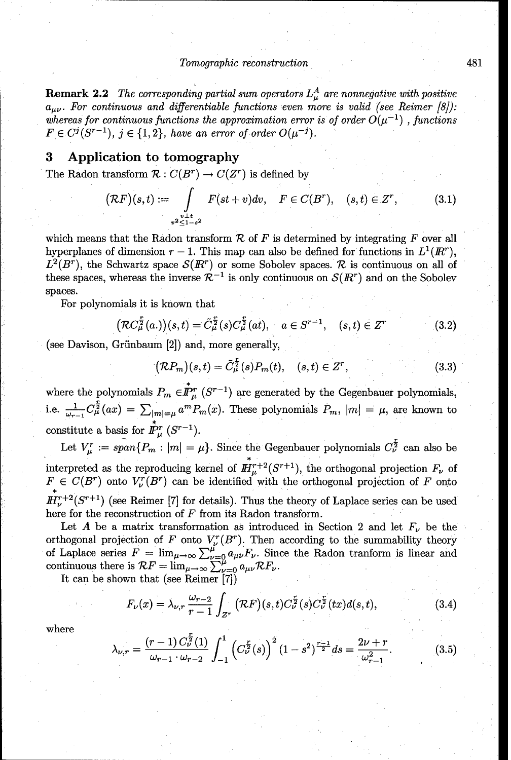#### **Tomographic reconstruction** 481

**Remark 2.2** *The corresponding partial sum operators*  $L^A_\mu$  *are nonnegative with positive*  $a_{\mu\nu}$ . For continuous and differentiable functions even more is valid (see Reimer [8]): whereas for continuous functions the approximation error is of order  $O(\mu^{-1})$ , functions  $F \in C^{j}(S^{r-1}), \; j \in \{1,2\}, \; have \; an \; error \; of \; order \; O(\mu^{-j}).$ 

## **3** Application to tomography

The Radon transform  $\mathcal{R}: C(B^r) \to C(Z^r)$  is defined by

$$
(\mathcal{R}F)(s,t) := \int_{\substack{v \perp t \\ v^2 \le 1-s^2}} F(st+v) dv, \quad F \in C(B^r), \quad (s,t) \in Z^r,
$$
 (3.1)

which means that the Radon transform  $R$  of  $F$  is determined by integrating  $F$  over all hyperplanes of dimension  $r-1$ . This map can also be defined for functions in  $L^1(\mathbb{R}^r)$ ,  $L^2(B^r)$ , the Schwartz space  $\mathcal{S}(I\!\!R^r)$  or some Sobolev spaces. R is continuous on all of these spaces, whereas the inverse  $\mathcal{R}^{-1}$  is only continuous on  $\mathcal{S}(I\!\!R^r)$  and on the Sobolev spaces.

For polynomials it is known that

$$
\left(\mathcal{R}C_{\mu}^{\frac{r}{2}}(a_{\cdot})\right)(s,t) = \tilde{C}_{\mu}^{\frac{r}{2}}(s)C_{\mu}^{\frac{r}{2}}(at), \quad a \in S^{r-1}, \quad (s,t) \in Z^r \tag{3.2}
$$

(see Davison, Griinbaum [2]) and, more generally,

$$
(\mathcal{R}P_m)(s,t) = \tilde{C}_{\mu}^{\frac{r}{2}}(s)P_m(t), \quad (s,t) \in Z^r,
$$
\n(3.3)

where the polynomials  $P_m \in \mathbb{I}_{\mu}^{r}$  ( $S^{r-1}$ ) are generated by the Gegenbauer polynomials, i.e.  $\frac{1}{\omega_{r-1}} C_\mu^{\frac{r}{2}}(ax) = \sum_{|m|=\mu} a^m P_m(x)$ . These polynomials  $P_m$ ,  $|m| = \mu$ , are known to constitute a basis for  $\mathring{I}_{\mu}^{r}(S^{r-1})$ .

Let  $V_{\mu}^r := span\{P_m : |m| = \mu\}$ . Since the Gegenbauer polynomials  $C_{\nu}^{\frac{r}{2}}$  can also be interpreted as the reproducing kernel of  $H_1^{r+2}(S^{r+1})$ , the orthogonal projection  $F_{\nu}$  of  $F \in C(B^r)$  onto  $V^r_{\nu}(B^r)$  can be identified with the orthogonal projection of F onto  $I\!\!H^{r+2}_\nu(S^{r+1})$  (see Reimer [7] for details). Thus the theory of Laplace series can be used here for the reconstruction of  $F$  from its Radon transform.

Let A be a matrix transformation as introduced in Section 2 and let  $F_{\nu}$  be the orthogonal projection of F onto  $V_r^r(B^r)$ . Then according to the summability theory of Laplace series  $F = \lim_{\mu \to \infty} \sum_{\nu=0}^{\mu} a_{\mu\nu} F_{\nu}$ . Since the Radon tranform is linear and continuous there is  $\mathcal{R}F = \lim_{\mu \to \infty} \sum_{\nu=0}^{\mu} a_{\mu\nu} \mathcal{R}F_{\nu}$ 

It can be shown that (see Reimer [7])

$$
F_{\nu}(x) = \lambda_{\nu,r} \frac{\omega_{r-2}}{r-1} \int_{Z^r} (\mathcal{R}F)(s,t) C_{\nu}^{\frac{r}{2}}(s) C_{\nu}^{\frac{r}{2}}(tx) d(s,t), \tag{3.4}
$$

where

$$
\lambda_{\nu,r} = \frac{(r-1)\,C_{\nu}^{\frac{r}{2}}(1)}{\omega_{r-1}\cdot\omega_{r-2}} \int_{-1}^{1} \left(C_{\nu}^{\frac{r}{2}}(s)\right)^2 (1-s^2)^{\frac{r-1}{2}} ds = \frac{2\nu+r}{\omega_{r-1}^2}.\tag{3.5}
$$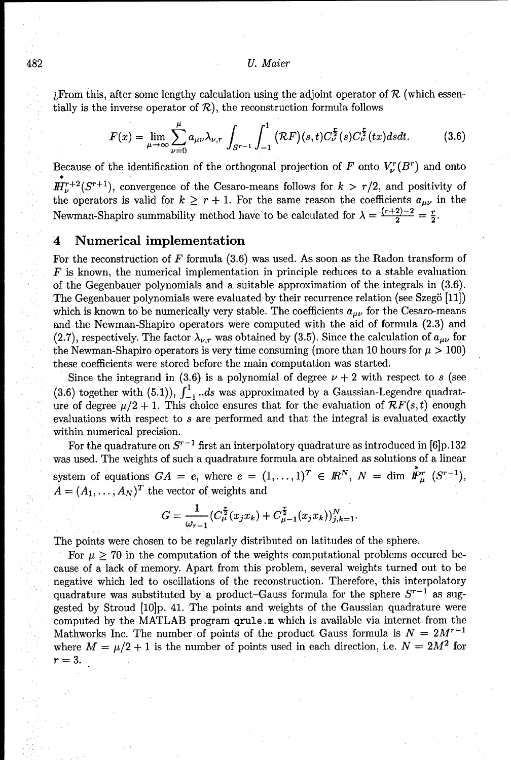#### 482 *U. Maier*

 $Z$ From this, after some lengthy calculation using the adjoint operator of  $R$  (which essentially is the inverse operator of  $\mathcal{R}$ ), the reconstruction formula follows

$$
F(x) = \lim_{\mu \to \infty} \sum_{\nu=0}^{\mu} a_{\mu\nu} \lambda_{\nu,r} \int_{S^{r-1}} \int_{-1}^{1} (\mathcal{R}F)(s,t) C_{\nu}^{\frac{r}{2}}(s) C_{\nu}^{\frac{r}{2}}(tx) ds dt.
$$
 (3.6)

Because of the identification of the orthogonal projection of F onto  $V_l^r(B^r)$  and onto  $\mathbb{H}^{r+2}_\nu(S^{r+1})$ , convergence of the Cesaro-means follows for  $k > r/2$ , and positivity of the operators is valid for  $k \geq r+1$ . For the same reason the coefficients  $a_{\mu\nu}$  in the Newman-Shapiro summability method have to be calculated for  $\lambda = \frac{(r+2)-2}{2}$ 

## 4 Numerical implementation

For the reconstruction of  $F$  formula  $(3.6)$  was used. As soon as the Radon transform of *F* is known, the numerical implementation in principle reduces to a stable evaluation of the Gegenbauer polynomials and a suitable approximation of the integrals in (3.6). The Gegenbauer polynomials were evaluated by their recurrence relation (see Szeg5 [11]) which is known to be numerically very stable. The coefficients  $a_{\mu\nu}$  for the Cesaro-means and the Newman-Shapiro operators were computed with the aid of formula (2.3) and (2.7), respectively. The factor  $\lambda_{\nu,r}$  was obtained by (3.5). Since the calculation of  $a_{\mu\nu}$  for the Newman-Shapiro operators is very time consuming (more than 10 hours for  $\mu > 100$ ) these coefficients were stored before the main computation was started.

Since the integrand in (3.6) is a polynomial of degree  $\nu + 2$  with respect to *s* (see (3.6) together with (5.1)),  $\int_{-1}^{1}$  *..ds* was approximated by a Gaussian-Legendre quadrature of degree  $\mu/2 + 1$ . This choice ensures that for the evaluation of  $\mathcal{R}F(s,t)$  enough evaluations with respect to s are performed and that the integral is evaluated exactly within numerical precision.

For the quadrature on  $S^{r-1}$  first an interpolatory quadrature as introduced in [6]p.132 was used. The weights of such a quadrature formula are obtained as solutions of a linear system of equations  $GA = e$ , where  $e = (1, \ldots, 1)^T \in \mathbb{R}^N$ ,  $N = \dim \mathbb{P}^r_u$   $(S^{r-1})$ ,  $A = (A_1, \ldots, A_N)^T$  the vector of weights and

$$
G = \frac{1}{\omega_{r-1}} (C^{\frac{r}{2}}_{\mu}(x_j x_k) + C^{\frac{r}{2}}_{\mu-1}(x_j x_k))_{j,k=1}^N.
$$

The points were chosen to be regularly distributed on latitudes of the sphere.

For  $\mu \geq 70$  in the computation of the weights computational problems occured because of a lack of memory. Apart from this problem, several weights turned out to be negative which led to oscillations of the reconstruction. Therefore, this interpolatory quadrature was substituted by a product-Gauss formula for the sphere  $S^{r-1}$  as suggested by Stroud **[10]p.** 41. The points and weights of the Gaussian quadrature were computed by the MATLAB program qrule.m which is available via internet from the Mathworks Inc. The number of points of the product Gauss formula is  $N = 2M^{r-1}$ where  $M = \mu/2 + 1$  is the number of points used in each direction, i.e.  $N = 2M^2$  for  $r=3$ .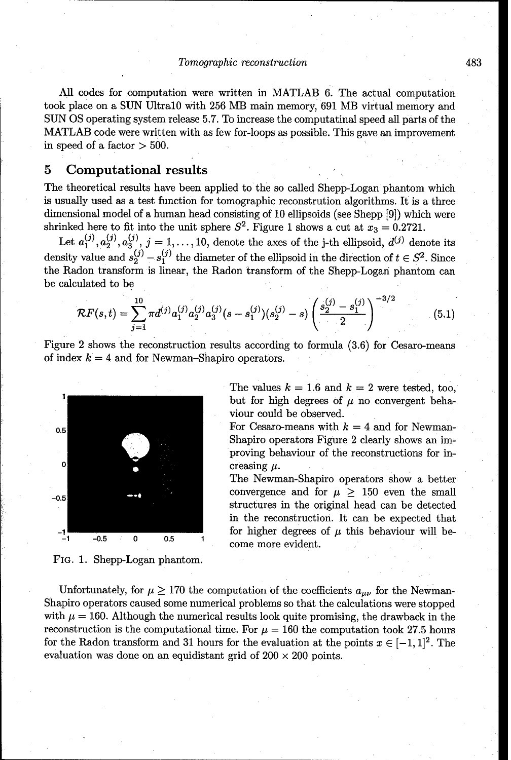#### Tomographic reconstruction 483

All codes for computation were written in MATLAB 6. The actual computation took place on a SUN UltralO with 256 MB main memory, 691 MB virtual memory and SUN OS operating system release 5.7. To increase the computatinal speed all parts of the MATLAB code were written with as few for-loops as possible. This gave an improvement in speed of a factor  $>$  500.

## **5** Computational results

The theoretical results have been applied to the so called Shepp-Logan phantom which is usually used as a test function for tomographic reconstrution algorithms. It is a three dimensional model of a human head consisting of 10 ellipsoids (see Shepp [9]) which were shrinked here to fit into the unit sphere  $S^2$ . Figure 1 shows a cut at  $x_3 = 0.2721$ .

Let  $a_1^{(j)}, a_2^{(j)}, a_3^{(j)}, j = 1, ..., 10$ , denote the axes of the j-th ellipsoid,  $d^{(j)}$  denote its density value and  $s_2^{(j)} - s_1^{(j)}$  the diameter of the ellipsoid in the direction of  $t \in S^2$ . Since the Radon transform is linear, the Radon transform of the Shepp-Logari phantom can be calculated to be  $\frac{10}{10}$   $\frac{1}{2}$   $\frac{1}{2}$   $\frac{1}{2}$   $\frac{1}{2}$   $\frac{1}{2}$   $\frac{1}{2}$   $\frac{1}{2}$   $\frac{1}{2}$   $\frac{1}{2}$   $\frac{1}{2}$   $\frac{1}{2}$   $\frac{1}{2}$   $\frac{1}{2}$   $\frac{1}{2}$   $\frac{1}{2}$   $\frac{1}{2}$   $\frac{1}{2}$   $\frac{1}{2}$   $\frac{1}{2}$   $\frac{1}{2}$   $\frac{1}{2}$ 

$$
\mathcal{R}F(s,t) = \sum_{j=1}^{10} \pi d^{(j)} a_1^{(j)} a_2^{(j)} a_3^{(j)} (s - s_1^{(j)}) (s_2^{(j)} - s) \left( \frac{s_2^{(j)} - s_1^{(j)}}{2} \right)^{-3/2}
$$
(5.1)

Figure 2 shows the reconstruction results according to formula (3.6) for Cesaro-means of index  $k = 4$  and for Newman-Shapiro operators.



The values  $k = 1.6$  and  $k = 2$  were tested, too, but for high degrees of  $\mu$  no convergent behaviour could be observed.

Shapiro operators Figure 2 clearly shows an improving behaviour of the reconstructions for increasing  $\mu$ .

The Newman-Shapiro operators show a better  $\begin{array}{rcl} -0.5 \end{array}$  **convergence** and for  $\mu \geq 150$  even the small structures in the original head can be detected in the reconstruction. It can be expected that  $\begin{array}{ccc} -1 & -0.5 & 0 & 0.5 & 1 \end{array}$  for higher degrees of  $\mu$  this behaviour will become more evident.

FIG. 1. Shepp-Logan phantom.

Unfortunately, for  $\mu \geq 170$  the computation of the coefficients  $a_{\mu\nu}$  for the Newman-Shapiro operators caused some numerical problems so that the calculations were stopped with  $\mu = 160$ . Although the numerical results look quite promising, the drawback in the reconstruction is the computational time. For  $\mu = 160$  the computation took 27.5 hours for the Radon transform and 31 hours for the evaluation at the points  $x \in [-1, 1]^2$ . The evaluation was done on an equidistant grid of  $200 \times 200$  points.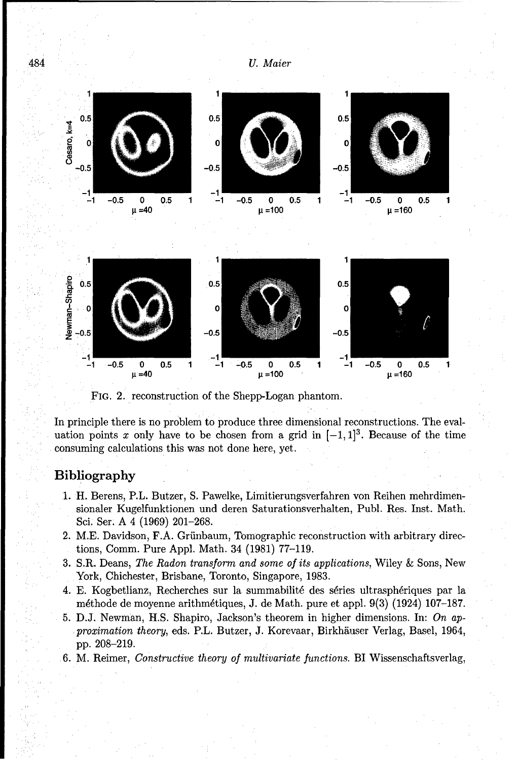

FIG. 2. reconstruction of the Shepp-Logan phantom.

In principle there is no problem to produce three dimensional reconstructions. The evaluation points x only have to be chosen from a grid in  $[-1, 1]^3$ . Because of the time consuming calculations this was not done here, yet.

## Bibliography

- 1. H. Berens, P.L. Butzer, S. Pawelke, Limitierungsverfahren von Reihen mehrdimensionaler Kugelfunktionen und deren Saturationsverhalten, Publ. Res. Inst. Math. Sci. Ser. A 4 (1969) 201-268.
- 2. M.E. Davidson, F.A. Griinbaum, Tomographic reconstruction with arbitrary directions, Comm. Pure Appl. Math. 34 (1981) 77-119.
- 3. S.R. Deans, The Radon transform and *some of its applications,* Wiley **&** Sons, New York, Chichester, Brisbane, Toronto, Singapore, 1983.
- 4. E. Kogbetlianz, Recherches sur la summabilité des séries ultrasphériques par la méthode de moyenne arithmétiques, J. de Math. pure et appl. 9(3) (1924) 107-187.
- 5. D.J. Newman, H.S. Shapiro, Jackson's theorem in higher dimensions. In: On approximation theory, eds. P.L. Butzer, J. Korevaar, Birkhhuser Verlag, Basel, 1964, pp. 208-219.
- 6. M. Reimer, Constructive *theory* of multivariate functions. BI Wissenschaftsverlag,